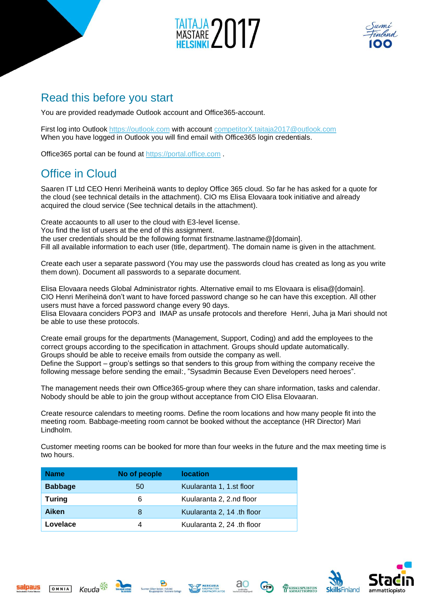



## Read this before you start

You are provided readymade Outlook account and Office365-account.

First log into Outlook [https://outlook.com](https://outlook.com/) with account [competitorX.taitaja2017@outlook.com](mailto:competitorX.taitaja2017@outlook.com) When you have logged in Outlook you will find email with Office365 login credentials.

Office365 portal can be found at [https://portal.office.com](https://portal.office.com/) .

## Office in Cloud

Saaren IT Ltd CEO Henri Meriheinä wants to deploy Office 365 cloud. So far he has asked for a quote for the cloud (see technical details in the attachment). CIO ms Elisa Elovaara took initiative and already acquired the cloud service (See technical details in the attachment).

Create accaounts to all user to the cloud with E3-level license.

You find the list of users at the end of this assignment.

the user credentials should be the following format firstname.lastname@[domain].

Fill all available information to each user (title, department). The domain name is given in the attachment.

Create each user a separate password (You may use the passwords cloud has created as long as you write them down). Document all passwords to a separate document.

Elisa Elovaara needs Global Administrator rights. Alternative email to ms Elovaara is elisa@[domain]. CIO Henri Meriheinä don't want to have forced password change so he can have this exception. All other users must have a forced password change every 90 days.

Elisa Elovaara conciders POP3 and IMAP as unsafe protocols and therefore Henri, Juha ja Mari should not be able to use these protocols.

Create email groups for the departments (Management, Support, Coding) and add the employees to the correct groups according to the specification in attachment. Groups should update automatically. Groups should be able to receive emails from outside the company as well. Define the Support – group's settings so that senders to this group from withing the company receive the

following message before sending the email:, "Sysadmin Because Even Developers need heroes".

The management needs their own Office365-group where they can share information, tasks and calendar. Nobody should be able to join the group without acceptance from CIO Elisa Elovaaran.

Create resource calendars to meeting rooms. Define the room locations and how many people fit into the meeting room. Babbage-meeting room cannot be booked without the acceptance (HR Director) Mari Lindholm.

Customer meeting rooms can be booked for more than four weeks in the future and the max meeting time is two hours.

| <b>Name</b>    | No of people | <b>location</b>            |  |
|----------------|--------------|----------------------------|--|
| <b>Babbage</b> | 50           | Kuularanta 1, 1.st floor   |  |
| <b>Turing</b>  | 6            | Kuularanta 2, 2.nd floor   |  |
| <b>Aiken</b>   | 8            | Kuularanta 2, 14 .th floor |  |
| Lovelace       |              | Kuularanta 2, 24 .th floor |  |